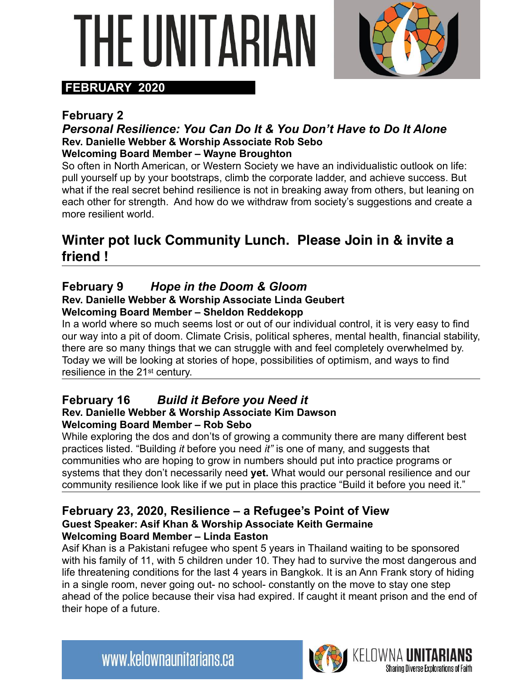# 'HF LINITARI,



#### **FEBRUARY 2020**

#### **February 2**

#### *Personal Resilience: You Can Do It & You Don't Have to Do It Alone*  **Rev. Danielle Webber & Worship Associate Rob Sebo Welcoming Board Member – Wayne Broughton**

So often in North American, or Western Society we have an individualistic outlook on life: pull yourself up by your bootstraps, climb the corporate ladder, and achieve success. But what if the real secret behind resilience is not in breaking away from others, but leaning on each other for strength. And how do we withdraw from society's suggestions and create a more resilient world.

#### **Winter pot luck Community Lunch. Please Join in & invite a friend !**

#### **February 9** *Hope in the Doom & Gloom*

#### **Rev. Danielle Webber & Worship Associate Linda Geubert Welcoming Board Member – Sheldon Reddekopp**

In a world where so much seems lost or out of our individual control, it is very easy to find our way into a pit of doom. Climate Crisis, political spheres, mental health, financial stability, there are so many things that we can struggle with and feel completely overwhelmed by. Today we will be looking at stories of hope, possibilities of optimism, and ways to find resilience in the 21st century.

#### **February 16** *Build it Before you Need it*

#### **Rev. Danielle Webber & Worship Associate Kim Dawson Welcoming Board Member – Rob Sebo**

While exploring the dos and don'ts of growing a community there are many different best practices listed. "Building *it* before you need *it"* is one of many, and suggests that communities who are hoping to grow in numbers should put into practice programs or systems that they don't necessarily need **yet.** What would our personal resilience and our community resilience look like if we put in place this practice "Build it before you need it."

#### **February 23, 2020, Resilience – a Refugee's Point of View Guest Speaker: Asif Khan & Worship Associate Keith Germaine Welcoming Board Member – Linda Easton**

Asif Khan is a Pakistani refugee who spent 5 years in Thailand waiting to be sponsored with his family of 11, with 5 children under 10. They had to survive the most dangerous and life threatening conditions for the last 4 years in Bangkok. It is an Ann Frank story of hiding in a single room, never going out- no school- constantly on the move to stay one step ahead of the police because their visa had expired. If caught it meant prison and the end of their hope of a future.

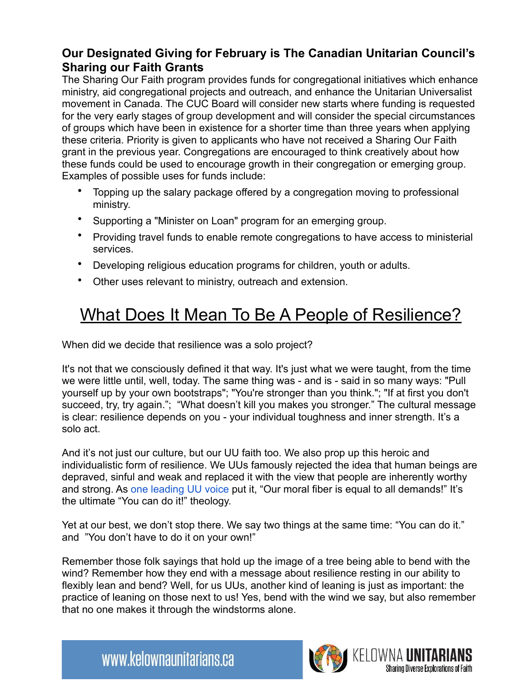#### **Our Designated Giving for February is The Canadian Unitarian Council's Sharing our Faith Grants**

The Sharing Our Faith program provides funds for congregational initiatives which enhance ministry, aid congregational projects and outreach, and enhance the Unitarian Universalist movement in Canada. The CUC Board will consider new starts where funding is requested for the very early stages of group development and will consider the special circumstances of groups which have been in existence for a shorter time than three years when applying these criteria. Priority is given to applicants who have not received a Sharing Our Faith grant in the previous year. Congregations are encouraged to think creatively about how these funds could be used to encourage growth in their congregation or emerging group. Examples of possible uses for funds include:

- Topping up the salary package offered by a congregation moving to professional ministry.
- Supporting a "Minister on Loan" program for an emerging group.
- Providing travel funds to enable remote congregations to have access to ministerial services.
- Developing religious education programs for children, youth or adults.
- Other uses relevant to ministry, outreach and extension.

### What Does It Mean To Be A People of Resilience?

When did we decide that resilience was a solo project?

It's not that we consciously defined it that way. It's just what we were taught, from the time we were little until, well, today. The same thing was - and is - said in so many ways: "Pull yourself up by your own bootstraps"; "You're stronger than you think."; "If at first you don't succeed, try, try again."; "What doesn't kill you makes you stronger." The cultural message is clear: resilience depends on you - your individual toughness and inner strength. It's a solo act.

And it's not just our culture, but our UU faith too. We also prop up this heroic and individualistic form of resilience. We UUs famously rejected the idea that human beings are depraved, sinful and weak and replaced it with the view that people are inherently worthy and strong. As one leading UU voice put it, "Our moral fiber is equal to all demands!" It's the ultimate "You can do it!" theology.

Yet at our best, we don't stop there. We say two things at the same time: "You can do it." and "You don't have to do it on your own!"

Remember those folk sayings that hold up the image of a tree being able to bend with the wind? Remember how they end with a message about resilience resting in our ability to flexibly lean and bend? Well, for us UUs, another kind of leaning is just as important: the practice of leaning on those next to us! Yes, bend with the wind we say, but also remember that no one makes it through the windstorms alone.



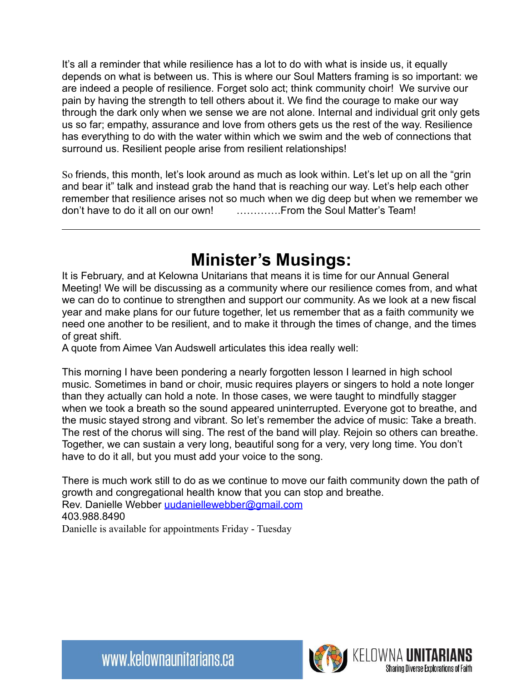It's all a reminder that while resilience has a lot to do with what is inside us, it equally depends on what is between us. This is where our Soul Matters framing is so important: we are indeed a people of resilience. Forget solo act; think community choir! We survive our pain by having the strength to tell others about it. We find the courage to make our way through the dark only when we sense we are not alone. Internal and individual grit only gets us so far; empathy, assurance and love from others gets us the rest of the way. Resilience has everything to do with the water within which we swim and the web of connections that surround us. Resilient people arise from resilient relationships!

So friends, this month, let's look around as much as look within. Let's let up on all the "grin and bear it" talk and instead grab the hand that is reaching our way. Let's help each other remember that resilience arises not so much when we dig deep but when we remember we don't have to do it all on our own! ………….From the Soul Matter's Team!

#### **Minister's Musings:**

It is February, and at Kelowna Unitarians that means it is time for our Annual General Meeting! We will be discussing as a community where our resilience comes from, and what we can do to continue to strengthen and support our community. As we look at a new fiscal year and make plans for our future together, let us remember that as a faith community we need one another to be resilient, and to make it through the times of change, and the times of great shift.

A quote from Aimee Van Audswell articulates this idea really well:

This morning I have been pondering a nearly forgotten lesson I learned in high school music. Sometimes in band or choir, music requires players or singers to hold a note longer than they actually can hold a note. In those cases, we were taught to mindfully stagger when we took a breath so the sound appeared uninterrupted. Everyone got to breathe, and the music stayed strong and vibrant. So let's remember the advice of music: Take a breath. The rest of the chorus will sing. The rest of the band will play. Rejoin so others can breathe. Together, we can sustain a very long, beautiful song for a very, very long time. You don't have to do it all, but you must add your voice to the song.

There is much work still to do as we continue to move our faith community down the path of growth and congregational health know that you can stop and breathe. Rev. Danielle Webber [uudaniellewebber@gmail.com](mailto:uudaniellewebber@gmail.com) 403.988.8490 Danielle is available for appointments Friday - Tuesday

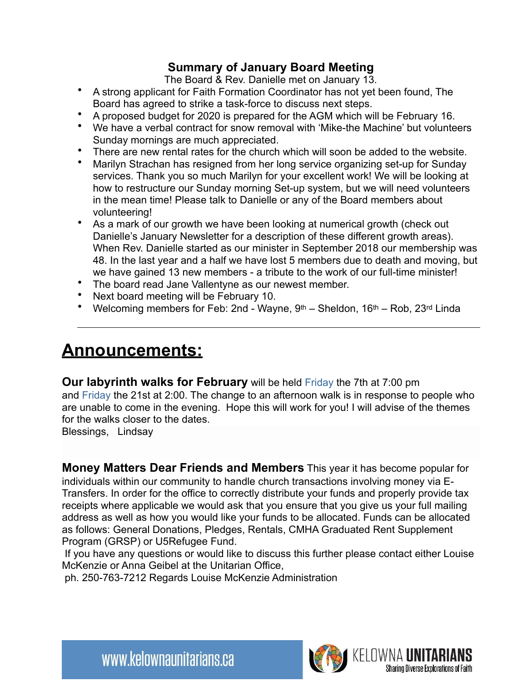#### **Summary of January Board Meeting**

The Board & Rev. Danielle met on January 13.

- A strong applicant for Faith Formation Coordinator has not yet been found, The Board has agreed to strike a task-force to discuss next steps.
- A proposed budget for 2020 is prepared for the AGM which will be February 16.
- We have a verbal contract for snow removal with 'Mike-the Machine' but volunteers Sunday mornings are much appreciated.
- There are new rental rates for the church which will soon be added to the website.
- Marilyn Strachan has resigned from her long service organizing set-up for Sunday services. Thank you so much Marilyn for your excellent work! We will be looking at how to restructure our Sunday morning Set-up system, but we will need volunteers in the mean time! Please talk to Danielle or any of the Board members about volunteering!
- As a mark of our growth we have been looking at numerical growth (check out Danielle's January Newsletter for a description of these different growth areas). When Rev. Danielle started as our minister in September 2018 our membership was 48. In the last year and a half we have lost 5 members due to death and moving, but we have gained 13 new members - a tribute to the work of our full-time minister!
- The board read Jane Vallentyne as our newest member.
- Next board meeting will be February 10.
- Welcoming members for Feb: 2nd Wayne,  $9<sup>th</sup>$  Sheldon,  $16<sup>th</sup>$  Rob,  $23<sup>rd</sup>$  Linda

#### **Announcements:**

**Our labyrinth walks for February** will be held Friday the 7th at 7:00 pm and Friday the 21st at 2:00. The change to an afternoon walk is in response to people who are unable to come in the evening. Hope this will work for you! I will advise of the themes for the walks closer to the dates.

Blessings, Lindsay

**Money Matters Dear Friends and Members** This year it has become popular for individuals within our community to handle church transactions involving money via E-Transfers. In order for the office to correctly distribute your funds and properly provide tax receipts where applicable we would ask that you ensure that you give us your full mailing address as well as how you would like your funds to be allocated. Funds can be allocated as follows: General Donations, Pledges, Rentals, CMHA Graduated Rent Supplement Program (GRSP) or U5Refugee Fund.

 If you have any questions or would like to discuss this further please contact either Louise McKenzie or Anna Geibel at the Unitarian Office,

ph. 250-763-7212 Regards Louise McKenzie Administration

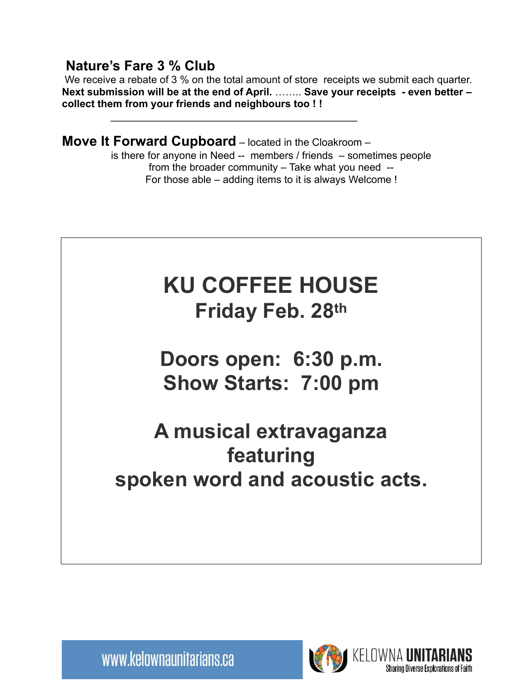**Nature's Fare 3 % Club**<br>We receive a rebate of 3 % on the total amount of store receipts we submit each quarter. **Next submission will be at the end of April.** …….. **Save your receipts - even better – collect them from your friends and neighbours too ! !** 

**Move It Forward Cupboard** – located in the Cloakroom –

 $\mathcal{L}_\text{max} = \frac{1}{2} \sum_{i=1}^{n} \frac{1}{2} \sum_{i=1}^{n} \frac{1}{2} \sum_{i=1}^{n} \frac{1}{2} \sum_{i=1}^{n} \frac{1}{2} \sum_{i=1}^{n} \frac{1}{2} \sum_{i=1}^{n} \frac{1}{2} \sum_{i=1}^{n} \frac{1}{2} \sum_{i=1}^{n} \frac{1}{2} \sum_{i=1}^{n} \frac{1}{2} \sum_{i=1}^{n} \frac{1}{2} \sum_{i=1}^{n} \frac{1}{2} \sum_{i=1}^{n} \frac{1$ 

is there for anyone in Need -- members / friends – sometimes people from the broader community – Take what you need -- For those able – adding items to it is always Welcome !